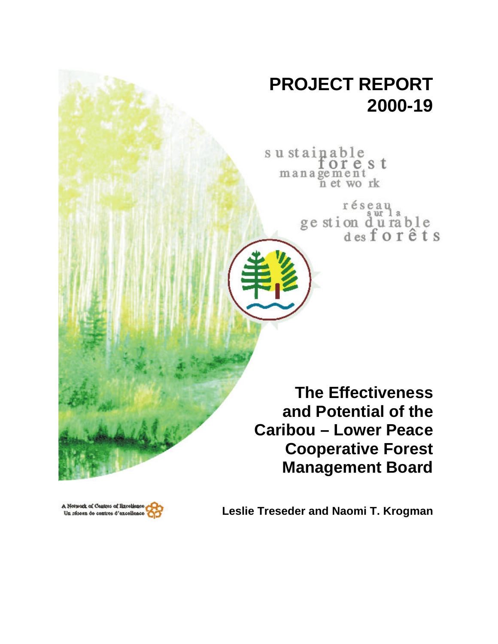# **PROJECT REPORT 2000-19**

su stainable orest management<br>n et work

> réseau ge stion du rable<br>desforêts

**The Effectiveness and Potential of the Caribou – Lower Peace Cooperative Forest Management Board**



**Leslie Treseder and Naomi T. Krogman**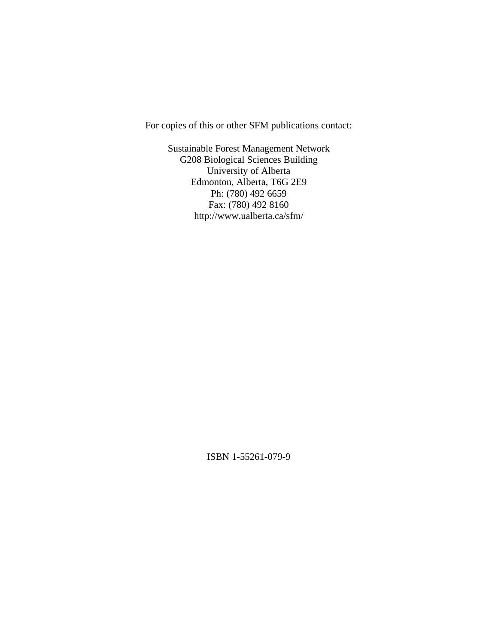For copies of this or other SFM publications contact:

Sustainable Forest Management Network G208 Biological Sciences Building University of Alberta Edmonton, Alberta, T6G 2E9 Ph: (780) 492 6659 Fax: (780) 492 8160 http://www.ualberta.ca/sfm/

ISBN 1-55261-079-9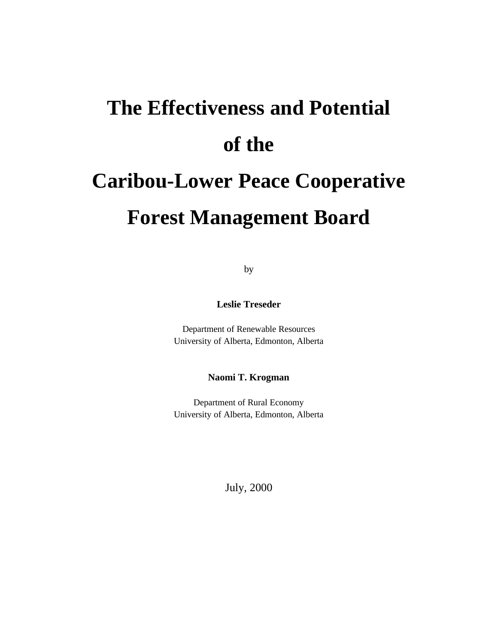# **The Effectiveness and Potential of the Caribou-Lower Peace Cooperative Forest Management Board**

by

**Leslie Treseder**

Department of Renewable Resources University of Alberta, Edmonton, Alberta

**Naomi T. Krogman**

Department of Rural Economy University of Alberta, Edmonton, Alberta

July, 2000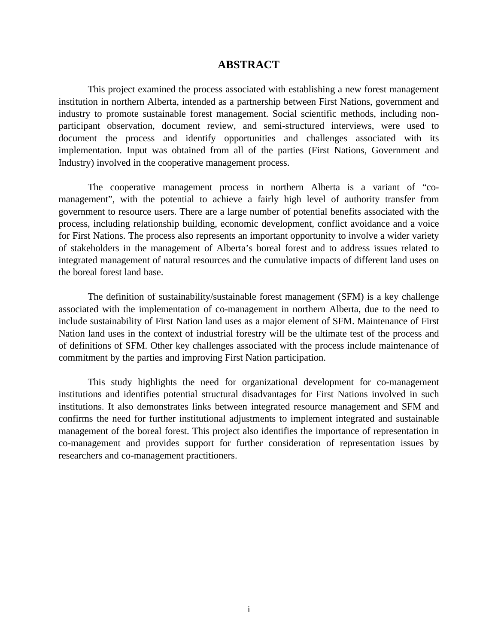#### **ABSTRACT**

This project examined the process associated with establishing a new forest management institution in northern Alberta, intended as a partnership between First Nations, government and industry to promote sustainable forest management. Social scientific methods, including nonparticipant observation, document review, and semi-structured interviews, were used to document the process and identify opportunities and challenges associated with its implementation. Input was obtained from all of the parties (First Nations, Government and Industry) involved in the cooperative management process.

The cooperative management process in northern Alberta is a variant of "comanagement", with the potential to achieve a fairly high level of authority transfer from government to resource users. There are a large number of potential benefits associated with the process, including relationship building, economic development, conflict avoidance and a voice for First Nations. The process also represents an important opportunity to involve a wider variety of stakeholders in the management of Alberta's boreal forest and to address issues related to integrated management of natural resources and the cumulative impacts of different land uses on the boreal forest land base.

The definition of sustainability/sustainable forest management (SFM) is a key challenge associated with the implementation of co-management in northern Alberta, due to the need to include sustainability of First Nation land uses as a major element of SFM. Maintenance of First Nation land uses in the context of industrial forestry will be the ultimate test of the process and of definitions of SFM. Other key challenges associated with the process include maintenance of commitment by the parties and improving First Nation participation.

This study highlights the need for organizational development for co-management institutions and identifies potential structural disadvantages for First Nations involved in such institutions. It also demonstrates links between integrated resource management and SFM and confirms the need for further institutional adjustments to implement integrated and sustainable management of the boreal forest. This project also identifies the importance of representation in co-management and provides support for further consideration of representation issues by researchers and co-management practitioners.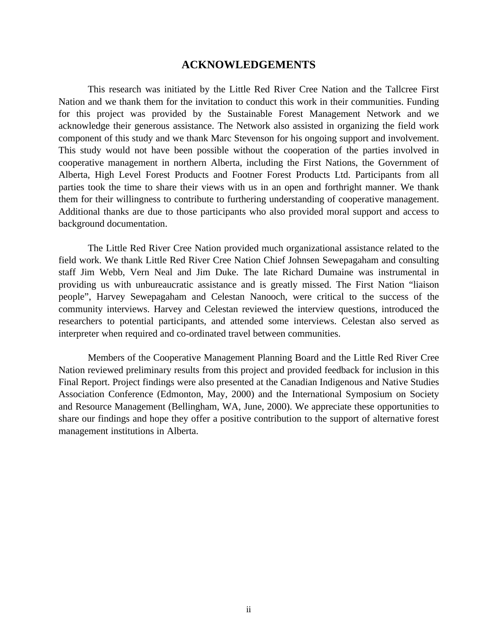#### **ACKNOWLEDGEMENTS**

This research was initiated by the Little Red River Cree Nation and the Tallcree First Nation and we thank them for the invitation to conduct this work in their communities. Funding for this project was provided by the Sustainable Forest Management Network and we acknowledge their generous assistance. The Network also assisted in organizing the field work component of this study and we thank Marc Stevenson for his ongoing support and involvement. This study would not have been possible without the cooperation of the parties involved in cooperative management in northern Alberta, including the First Nations, the Government of Alberta, High Level Forest Products and Footner Forest Products Ltd. Participants from all parties took the time to share their views with us in an open and forthright manner. We thank them for their willingness to contribute to furthering understanding of cooperative management. Additional thanks are due to those participants who also provided moral support and access to background documentation.

The Little Red River Cree Nation provided much organizational assistance related to the field work. We thank Little Red River Cree Nation Chief Johnsen Sewepagaham and consulting staff Jim Webb, Vern Neal and Jim Duke. The late Richard Dumaine was instrumental in providing us with unbureaucratic assistance and is greatly missed. The First Nation "liaison people", Harvey Sewepagaham and Celestan Nanooch, were critical to the success of the community interviews. Harvey and Celestan reviewed the interview questions, introduced the researchers to potential participants, and attended some interviews. Celestan also served as interpreter when required and co-ordinated travel between communities.

Members of the Cooperative Management Planning Board and the Little Red River Cree Nation reviewed preliminary results from this project and provided feedback for inclusion in this Final Report. Project findings were also presented at the Canadian Indigenous and Native Studies Association Conference (Edmonton, May, 2000) and the International Symposium on Society and Resource Management (Bellingham, WA, June, 2000). We appreciate these opportunities to share our findings and hope they offer a positive contribution to the support of alternative forest management institutions in Alberta.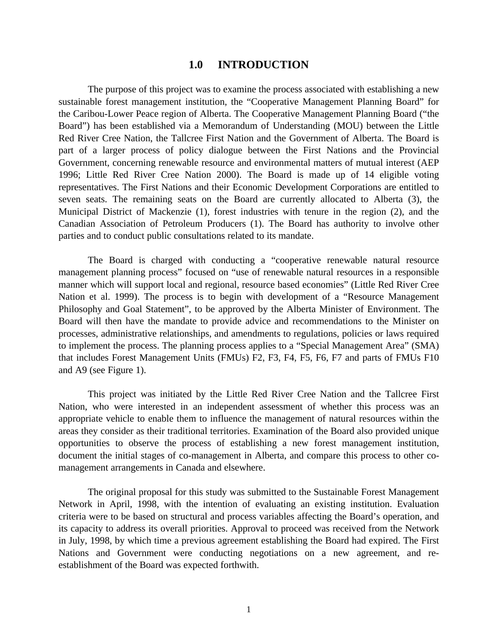#### **1.0 INTRODUCTION**

The purpose of this project was to examine the process associated with establishing a new sustainable forest management institution, the "Cooperative Management Planning Board" for the Caribou-Lower Peace region of Alberta. The Cooperative Management Planning Board ("the Board") has been established via a Memorandum of Understanding (MOU) between the Little Red River Cree Nation, the Tallcree First Nation and the Government of Alberta. The Board is part of a larger process of policy dialogue between the First Nations and the Provincial Government, concerning renewable resource and environmental matters of mutual interest (AEP 1996; Little Red River Cree Nation 2000). The Board is made up of 14 eligible voting representatives. The First Nations and their Economic Development Corporations are entitled to seven seats. The remaining seats on the Board are currently allocated to Alberta (3), the Municipal District of Mackenzie (1), forest industries with tenure in the region (2), and the Canadian Association of Petroleum Producers (1). The Board has authority to involve other parties and to conduct public consultations related to its mandate.

The Board is charged with conducting a "cooperative renewable natural resource management planning process" focused on "use of renewable natural resources in a responsible manner which will support local and regional, resource based economies" (Little Red River Cree Nation et al. 1999). The process is to begin with development of a "Resource Management Philosophy and Goal Statement", to be approved by the Alberta Minister of Environment. The Board will then have the mandate to provide advice and recommendations to the Minister on processes, administrative relationships, and amendments to regulations, policies or laws required to implement the process. The planning process applies to a "Special Management Area" (SMA) that includes Forest Management Units (FMUs) F2, F3, F4, F5, F6, F7 and parts of FMUs F10 and A9 (see Figure 1).

This project was initiated by the Little Red River Cree Nation and the Tallcree First Nation, who were interested in an independent assessment of whether this process was an appropriate vehicle to enable them to influence the management of natural resources within the areas they consider as their traditional territories. Examination of the Board also provided unique opportunities to observe the process of establishing a new forest management institution, document the initial stages of co-management in Alberta, and compare this process to other comanagement arrangements in Canada and elsewhere.

The original proposal for this study was submitted to the Sustainable Forest Management Network in April, 1998, with the intention of evaluating an existing institution. Evaluation criteria were to be based on structural and process variables affecting the Board's operation, and its capacity to address its overall priorities. Approval to proceed was received from the Network in July, 1998, by which time a previous agreement establishing the Board had expired. The First Nations and Government were conducting negotiations on a new agreement, and reestablishment of the Board was expected forthwith.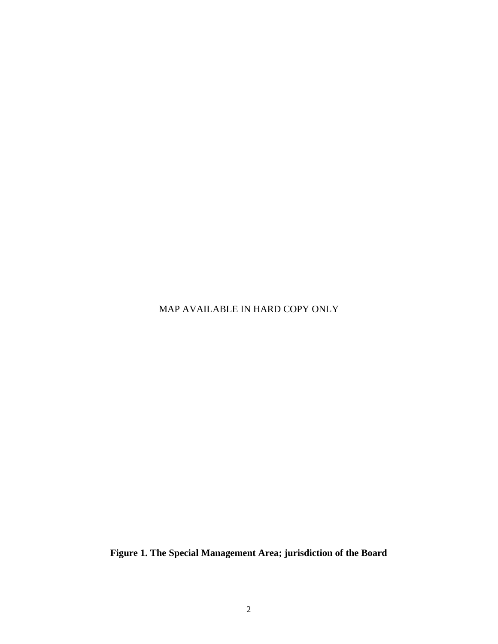MAP AVAILABLE IN HARD COPY ONLY

**Figure 1. The Special Management Area; jurisdiction of the Board**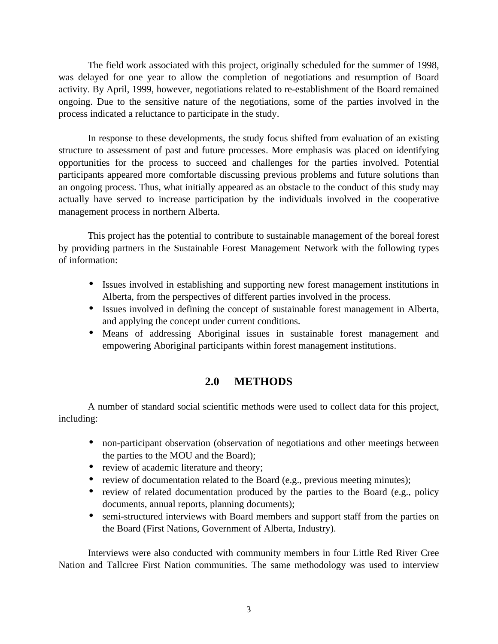The field work associated with this project, originally scheduled for the summer of 1998, was delayed for one year to allow the completion of negotiations and resumption of Board activity. By April, 1999, however, negotiations related to re-establishment of the Board remained ongoing. Due to the sensitive nature of the negotiations, some of the parties involved in the process indicated a reluctance to participate in the study.

In response to these developments, the study focus shifted from evaluation of an existing structure to assessment of past and future processes. More emphasis was placed on identifying opportunities for the process to succeed and challenges for the parties involved. Potential participants appeared more comfortable discussing previous problems and future solutions than an ongoing process. Thus, what initially appeared as an obstacle to the conduct of this study may actually have served to increase participation by the individuals involved in the cooperative management process in northern Alberta.

This project has the potential to contribute to sustainable management of the boreal forest by providing partners in the Sustainable Forest Management Network with the following types of information:

- Issues involved in establishing and supporting new forest management institutions in Alberta, from the perspectives of different parties involved in the process.
- Issues involved in defining the concept of sustainable forest management in Alberta, and applying the concept under current conditions.
- Means of addressing Aboriginal issues in sustainable forest management and empowering Aboriginal participants within forest management institutions.

# **2.0 METHODS**

A number of standard social scientific methods were used to collect data for this project, including:

- non-participant observation (observation of negotiations and other meetings between the parties to the MOU and the Board);
- review of academic literature and theory;
- review of documentation related to the Board (e.g., previous meeting minutes);
- review of related documentation produced by the parties to the Board (e.g., policy documents, annual reports, planning documents);
- semi-structured interviews with Board members and support staff from the parties on the Board (First Nations, Government of Alberta, Industry).

Interviews were also conducted with community members in four Little Red River Cree Nation and Tallcree First Nation communities. The same methodology was used to interview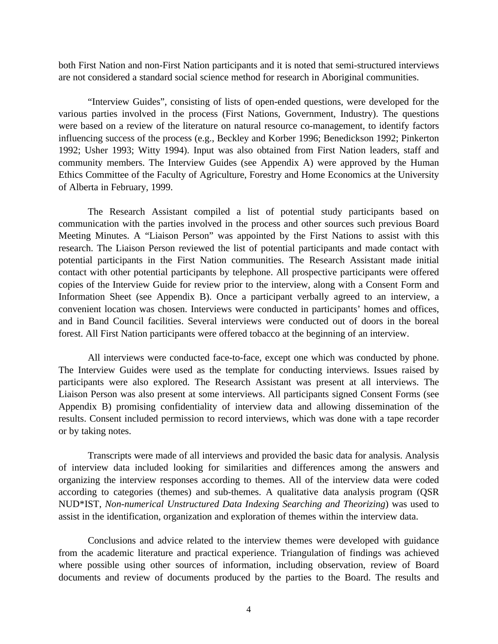both First Nation and non-First Nation participants and it is noted that semi-structured interviews are not considered a standard social science method for research in Aboriginal communities.

"Interview Guides", consisting of lists of open-ended questions, were developed for the various parties involved in the process (First Nations, Government, Industry). The questions were based on a review of the literature on natural resource co-management, to identify factors influencing success of the process (e.g., Beckley and Korber 1996; Benedickson 1992; Pinkerton 1992; Usher 1993; Witty 1994). Input was also obtained from First Nation leaders, staff and community members. The Interview Guides (see Appendix A) were approved by the Human Ethics Committee of the Faculty of Agriculture, Forestry and Home Economics at the University of Alberta in February, 1999.

The Research Assistant compiled a list of potential study participants based on communication with the parties involved in the process and other sources such previous Board Meeting Minutes. A "Liaison Person" was appointed by the First Nations to assist with this research. The Liaison Person reviewed the list of potential participants and made contact with potential participants in the First Nation communities. The Research Assistant made initial contact with other potential participants by telephone. All prospective participants were offered copies of the Interview Guide for review prior to the interview, along with a Consent Form and Information Sheet (see Appendix B). Once a participant verbally agreed to an interview, a convenient location was chosen. Interviews were conducted in participants' homes and offices, and in Band Council facilities. Several interviews were conducted out of doors in the boreal forest. All First Nation participants were offered tobacco at the beginning of an interview.

All interviews were conducted face-to-face, except one which was conducted by phone. The Interview Guides were used as the template for conducting interviews. Issues raised by participants were also explored. The Research Assistant was present at all interviews. The Liaison Person was also present at some interviews. All participants signed Consent Forms (see Appendix B) promising confidentiality of interview data and allowing dissemination of the results. Consent included permission to record interviews, which was done with a tape recorder or by taking notes.

Transcripts were made of all interviews and provided the basic data for analysis. Analysis of interview data included looking for similarities and differences among the answers and organizing the interview responses according to themes. All of the interview data were coded according to categories (themes) and sub-themes. A qualitative data analysis program (QSR NUD\*IST, *Non-numerical Unstructured Data Indexing Searching and Theorizing*) was used to assist in the identification, organization and exploration of themes within the interview data.

Conclusions and advice related to the interview themes were developed with guidance from the academic literature and practical experience. Triangulation of findings was achieved where possible using other sources of information, including observation, review of Board documents and review of documents produced by the parties to the Board. The results and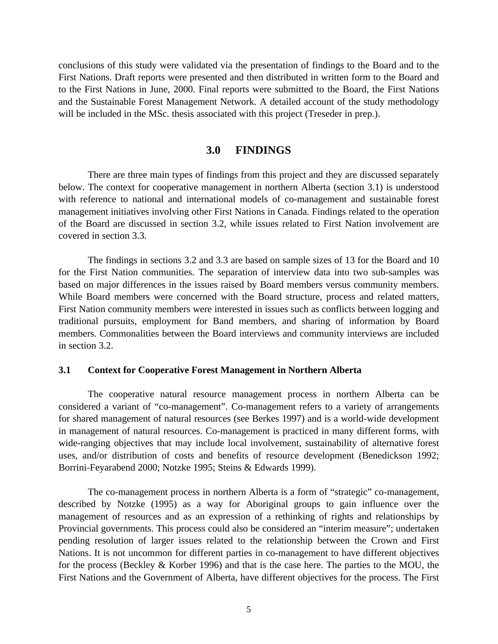conclusions of this study were validated via the presentation of findings to the Board and to the First Nations. Draft reports were presented and then distributed in written form to the Board and to the First Nations in June, 2000. Final reports were submitted to the Board, the First Nations and the Sustainable Forest Management Network. A detailed account of the study methodology will be included in the MSc. thesis associated with this project (Treseder in prep.).

#### **3.0 FINDINGS**

There are three main types of findings from this project and they are discussed separately below. The context for cooperative management in northern Alberta (section 3.1) is understood with reference to national and international models of co-management and sustainable forest management initiatives involving other First Nations in Canada. Findings related to the operation of the Board are discussed in section 3.2, while issues related to First Nation involvement are covered in section 3.3.

The findings in sections 3.2 and 3.3 are based on sample sizes of 13 for the Board and 10 for the First Nation communities. The separation of interview data into two sub-samples was based on major differences in the issues raised by Board members versus community members. While Board members were concerned with the Board structure, process and related matters, First Nation community members were interested in issues such as conflicts between logging and traditional pursuits, employment for Band members, and sharing of information by Board members. Commonalities between the Board interviews and community interviews are included in section 3.2.

#### **3.1 Context for Cooperative Forest Management in Northern Alberta**

The cooperative natural resource management process in northern Alberta can be considered a variant of "co-management". Co-management refers to a variety of arrangements for shared management of natural resources (see Berkes 1997) and is a world-wide development in management of natural resources. Co-management is practiced in many different forms, with wide-ranging objectives that may include local involvement, sustainability of alternative forest uses, and/or distribution of costs and benefits of resource development (Benedickson 1992; Borrini-Feyarabend 2000; Notzke 1995; Steins & Edwards 1999).

The co-management process in northern Alberta is a form of "strategic" co-management, described by Notzke (1995) as a way for Aboriginal groups to gain influence over the management of resources and as an expression of a rethinking of rights and relationships by Provincial governments. This process could also be considered an "interim measure"; undertaken pending resolution of larger issues related to the relationship between the Crown and First Nations. It is not uncommon for different parties in co-management to have different objectives for the process (Beckley & Korber 1996) and that is the case here. The parties to the MOU, the First Nations and the Government of Alberta, have different objectives for the process. The First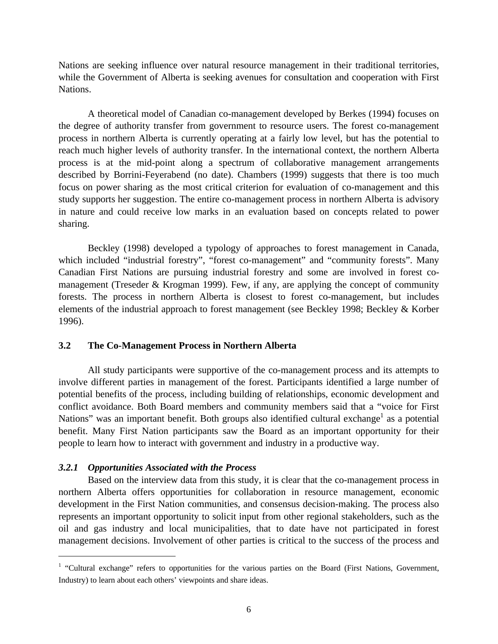Nations are seeking influence over natural resource management in their traditional territories, while the Government of Alberta is seeking avenues for consultation and cooperation with First Nations.

A theoretical model of Canadian co-management developed by Berkes (1994) focuses on the degree of authority transfer from government to resource users. The forest co-management process in northern Alberta is currently operating at a fairly low level, but has the potential to reach much higher levels of authority transfer. In the international context, the northern Alberta process is at the mid-point along a spectrum of collaborative management arrangements described by Borrini-Feyerabend (no date). Chambers (1999) suggests that there is too much focus on power sharing as the most critical criterion for evaluation of co-management and this study supports her suggestion. The entire co-management process in northern Alberta is advisory in nature and could receive low marks in an evaluation based on concepts related to power sharing.

Beckley (1998) developed a typology of approaches to forest management in Canada, which included "industrial forestry", "forest co-management" and "community forests". Many Canadian First Nations are pursuing industrial forestry and some are involved in forest comanagement (Treseder & Krogman 1999). Few, if any, are applying the concept of community forests. The process in northern Alberta is closest to forest co-management, but includes elements of the industrial approach to forest management (see Beckley 1998; Beckley & Korber 1996).

#### **3.2 The Co-Management Process in Northern Alberta**

All study participants were supportive of the co-management process and its attempts to involve different parties in management of the forest. Participants identified a large number of potential benefits of the process, including building of relationships, economic development and conflict avoidance. Both Board members and community members said that a "voice for First Nations" was an important benefit. Both groups also identified cultural exchange<sup>1</sup> as a potential benefit. Many First Nation participants saw the Board as an important opportunity for their people to learn how to interact with government and industry in a productive way.

#### *3.2.1 Opportunities Associated with the Process*

<u>.</u>

Based on the interview data from this study, it is clear that the co-management process in northern Alberta offers opportunities for collaboration in resource management, economic development in the First Nation communities, and consensus decision-making. The process also represents an important opportunity to solicit input from other regional stakeholders, such as the oil and gas industry and local municipalities, that to date have not participated in forest management decisions. Involvement of other parties is critical to the success of the process and

<sup>&</sup>lt;sup>1</sup> "Cultural exchange" refers to opportunities for the various parties on the Board (First Nations, Government, Industry) to learn about each others' viewpoints and share ideas.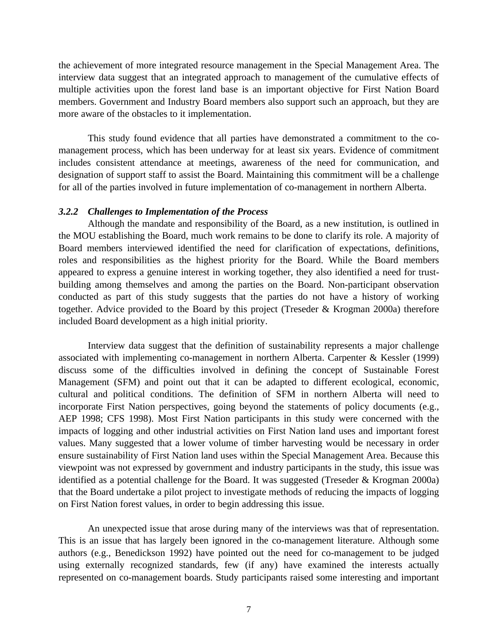the achievement of more integrated resource management in the Special Management Area. The interview data suggest that an integrated approach to management of the cumulative effects of multiple activities upon the forest land base is an important objective for First Nation Board members. Government and Industry Board members also support such an approach, but they are more aware of the obstacles to it implementation.

This study found evidence that all parties have demonstrated a commitment to the comanagement process, which has been underway for at least six years. Evidence of commitment includes consistent attendance at meetings, awareness of the need for communication, and designation of support staff to assist the Board. Maintaining this commitment will be a challenge for all of the parties involved in future implementation of co-management in northern Alberta.

#### *3.2.2 Challenges to Implementation of the Process*

Although the mandate and responsibility of the Board, as a new institution, is outlined in the MOU establishing the Board, much work remains to be done to clarify its role. A majority of Board members interviewed identified the need for clarification of expectations, definitions, roles and responsibilities as the highest priority for the Board. While the Board members appeared to express a genuine interest in working together, they also identified a need for trustbuilding among themselves and among the parties on the Board. Non-participant observation conducted as part of this study suggests that the parties do not have a history of working together. Advice provided to the Board by this project (Treseder & Krogman 2000a) therefore included Board development as a high initial priority.

Interview data suggest that the definition of sustainability represents a major challenge associated with implementing co-management in northern Alberta. Carpenter & Kessler (1999) discuss some of the difficulties involved in defining the concept of Sustainable Forest Management (SFM) and point out that it can be adapted to different ecological, economic, cultural and political conditions. The definition of SFM in northern Alberta will need to incorporate First Nation perspectives, going beyond the statements of policy documents (e.g., AEP 1998; CFS 1998). Most First Nation participants in this study were concerned with the impacts of logging and other industrial activities on First Nation land uses and important forest values. Many suggested that a lower volume of timber harvesting would be necessary in order ensure sustainability of First Nation land uses within the Special Management Area. Because this viewpoint was not expressed by government and industry participants in the study, this issue was identified as a potential challenge for the Board. It was suggested (Treseder & Krogman 2000a) that the Board undertake a pilot project to investigate methods of reducing the impacts of logging on First Nation forest values, in order to begin addressing this issue.

An unexpected issue that arose during many of the interviews was that of representation. This is an issue that has largely been ignored in the co-management literature. Although some authors (e.g., Benedickson 1992) have pointed out the need for co-management to be judged using externally recognized standards, few (if any) have examined the interests actually represented on co-management boards. Study participants raised some interesting and important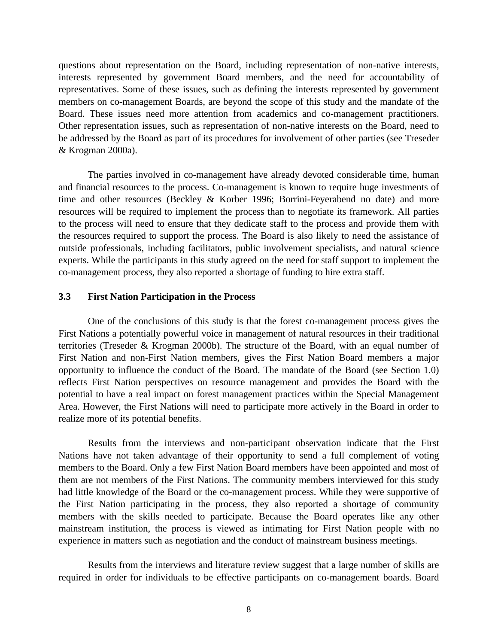questions about representation on the Board, including representation of non-native interests, interests represented by government Board members, and the need for accountability of representatives. Some of these issues, such as defining the interests represented by government members on co-management Boards, are beyond the scope of this study and the mandate of the Board. These issues need more attention from academics and co-management practitioners. Other representation issues, such as representation of non-native interests on the Board, need to be addressed by the Board as part of its procedures for involvement of other parties (see Treseder & Krogman 2000a).

The parties involved in co-management have already devoted considerable time, human and financial resources to the process. Co-management is known to require huge investments of time and other resources (Beckley & Korber 1996; Borrini-Feyerabend no date) and more resources will be required to implement the process than to negotiate its framework. All parties to the process will need to ensure that they dedicate staff to the process and provide them with the resources required to support the process. The Board is also likely to need the assistance of outside professionals, including facilitators, public involvement specialists, and natural science experts. While the participants in this study agreed on the need for staff support to implement the co-management process, they also reported a shortage of funding to hire extra staff.

#### **3.3 First Nation Participation in the Process**

One of the conclusions of this study is that the forest co-management process gives the First Nations a potentially powerful voice in management of natural resources in their traditional territories (Treseder & Krogman 2000b). The structure of the Board, with an equal number of First Nation and non-First Nation members, gives the First Nation Board members a major opportunity to influence the conduct of the Board. The mandate of the Board (see Section 1.0) reflects First Nation perspectives on resource management and provides the Board with the potential to have a real impact on forest management practices within the Special Management Area. However, the First Nations will need to participate more actively in the Board in order to realize more of its potential benefits.

Results from the interviews and non-participant observation indicate that the First Nations have not taken advantage of their opportunity to send a full complement of voting members to the Board. Only a few First Nation Board members have been appointed and most of them are not members of the First Nations. The community members interviewed for this study had little knowledge of the Board or the co-management process. While they were supportive of the First Nation participating in the process, they also reported a shortage of community members with the skills needed to participate. Because the Board operates like any other mainstream institution, the process is viewed as intimating for First Nation people with no experience in matters such as negotiation and the conduct of mainstream business meetings.

Results from the interviews and literature review suggest that a large number of skills are required in order for individuals to be effective participants on co-management boards. Board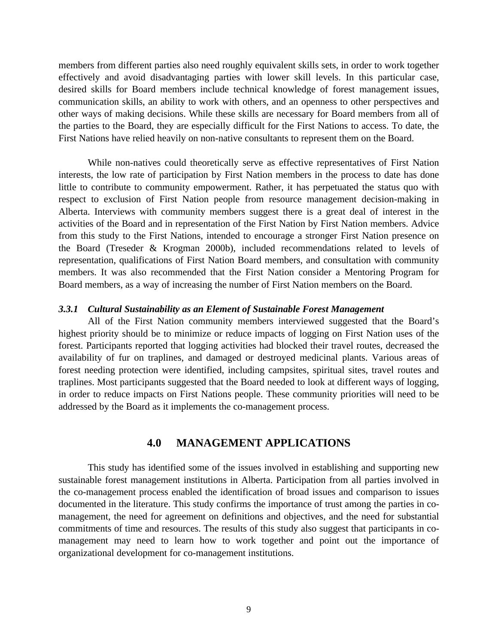members from different parties also need roughly equivalent skills sets, in order to work together effectively and avoid disadvantaging parties with lower skill levels. In this particular case, desired skills for Board members include technical knowledge of forest management issues, communication skills, an ability to work with others, and an openness to other perspectives and other ways of making decisions. While these skills are necessary for Board members from all of the parties to the Board, they are especially difficult for the First Nations to access. To date, the First Nations have relied heavily on non-native consultants to represent them on the Board.

While non-natives could theoretically serve as effective representatives of First Nation interests, the low rate of participation by First Nation members in the process to date has done little to contribute to community empowerment. Rather, it has perpetuated the status quo with respect to exclusion of First Nation people from resource management decision-making in Alberta. Interviews with community members suggest there is a great deal of interest in the activities of the Board and in representation of the First Nation by First Nation members. Advice from this study to the First Nations, intended to encourage a stronger First Nation presence on the Board (Treseder & Krogman 2000b), included recommendations related to levels of representation, qualifications of First Nation Board members, and consultation with community members. It was also recommended that the First Nation consider a Mentoring Program for Board members, as a way of increasing the number of First Nation members on the Board.

#### *3.3.1 Cultural Sustainability as an Element of Sustainable Forest Management*

All of the First Nation community members interviewed suggested that the Board's highest priority should be to minimize or reduce impacts of logging on First Nation uses of the forest. Participants reported that logging activities had blocked their travel routes, decreased the availability of fur on traplines, and damaged or destroyed medicinal plants. Various areas of forest needing protection were identified, including campsites, spiritual sites, travel routes and traplines. Most participants suggested that the Board needed to look at different ways of logging, in order to reduce impacts on First Nations people. These community priorities will need to be addressed by the Board as it implements the co-management process.

## **4.0 MANAGEMENT APPLICATIONS**

This study has identified some of the issues involved in establishing and supporting new sustainable forest management institutions in Alberta. Participation from all parties involved in the co-management process enabled the identification of broad issues and comparison to issues documented in the literature. This study confirms the importance of trust among the parties in comanagement, the need for agreement on definitions and objectives, and the need for substantial commitments of time and resources. The results of this study also suggest that participants in comanagement may need to learn how to work together and point out the importance of organizational development for co-management institutions.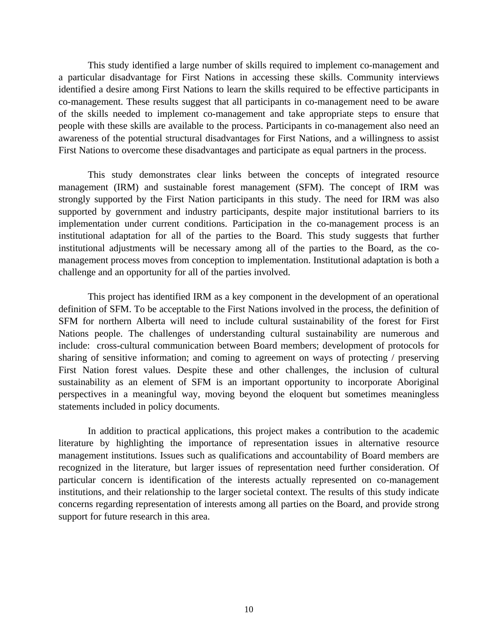This study identified a large number of skills required to implement co-management and a particular disadvantage for First Nations in accessing these skills. Community interviews identified a desire among First Nations to learn the skills required to be effective participants in co-management. These results suggest that all participants in co-management need to be aware of the skills needed to implement co-management and take appropriate steps to ensure that people with these skills are available to the process. Participants in co-management also need an awareness of the potential structural disadvantages for First Nations, and a willingness to assist First Nations to overcome these disadvantages and participate as equal partners in the process.

This study demonstrates clear links between the concepts of integrated resource management (IRM) and sustainable forest management (SFM). The concept of IRM was strongly supported by the First Nation participants in this study. The need for IRM was also supported by government and industry participants, despite major institutional barriers to its implementation under current conditions. Participation in the co-management process is an institutional adaptation for all of the parties to the Board. This study suggests that further institutional adjustments will be necessary among all of the parties to the Board, as the comanagement process moves from conception to implementation. Institutional adaptation is both a challenge and an opportunity for all of the parties involved.

This project has identified IRM as a key component in the development of an operational definition of SFM. To be acceptable to the First Nations involved in the process, the definition of SFM for northern Alberta will need to include cultural sustainability of the forest for First Nations people. The challenges of understanding cultural sustainability are numerous and include: cross-cultural communication between Board members; development of protocols for sharing of sensitive information; and coming to agreement on ways of protecting / preserving First Nation forest values. Despite these and other challenges, the inclusion of cultural sustainability as an element of SFM is an important opportunity to incorporate Aboriginal perspectives in a meaningful way, moving beyond the eloquent but sometimes meaningless statements included in policy documents.

In addition to practical applications, this project makes a contribution to the academic literature by highlighting the importance of representation issues in alternative resource management institutions. Issues such as qualifications and accountability of Board members are recognized in the literature, but larger issues of representation need further consideration. Of particular concern is identification of the interests actually represented on co-management institutions, and their relationship to the larger societal context. The results of this study indicate concerns regarding representation of interests among all parties on the Board, and provide strong support for future research in this area.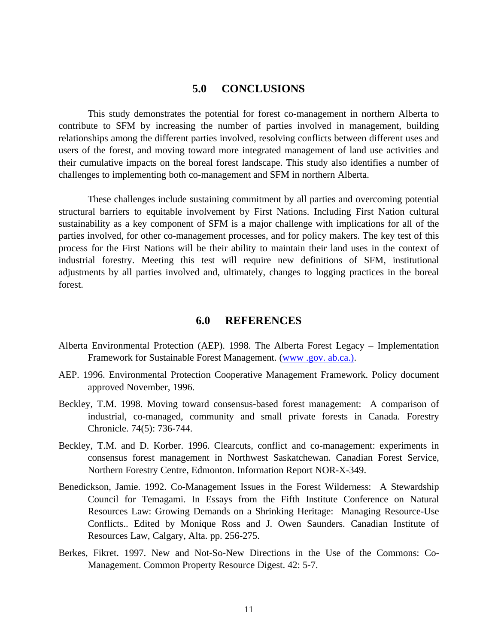#### **5.0 CONCLUSIONS**

This study demonstrates the potential for forest co-management in northern Alberta to contribute to SFM by increasing the number of parties involved in management, building relationships among the different parties involved, resolving conflicts between different uses and users of the forest, and moving toward more integrated management of land use activities and their cumulative impacts on the boreal forest landscape. This study also identifies a number of challenges to implementing both co-management and SFM in northern Alberta.

These challenges include sustaining commitment by all parties and overcoming potential structural barriers to equitable involvement by First Nations. Including First Nation cultural sustainability as a key component of SFM is a major challenge with implications for all of the parties involved, for other co-management processes, and for policy makers. The key test of this process for the First Nations will be their ability to maintain their land uses in the context of industrial forestry. Meeting this test will require new definitions of SFM, institutional adjustments by all parties involved and, ultimately, changes to logging practices in the boreal forest.

#### **6.0 REFERENCES**

- Alberta Environmental Protection (AEP). 1998. The Alberta Forest Legacy Implementation Framework for Sustainable Forest Management. (www.gov.ab.ca.).
- AEP. 1996. Environmental Protection Cooperative Management Framework. Policy document approved November, 1996.
- Beckley, T.M. 1998. Moving toward consensus-based forest management: A comparison of industrial, co-managed, community and small private forests in Canada*.* Forestry Chronicle. 74(5): 736-744.
- Beckley, T.M. and D. Korber. 1996. Clearcuts, conflict and co-management: experiments in consensus forest management in Northwest Saskatchewan. Canadian Forest Service, Northern Forestry Centre, Edmonton. Information Report NOR-X-349.
- Benedickson, Jamie. 1992. Co-Management Issues in the Forest Wilderness: A Stewardship Council for Temagami. In Essays from the Fifth Institute Conference on Natural Resources Law: Growing Demands on a Shrinking Heritage: Managing Resource-Use Conflicts.. Edited by Monique Ross and J. Owen Saunders. Canadian Institute of Resources Law, Calgary, Alta. pp. 256-275.
- Berkes, Fikret. 1997. New and Not-So-New Directions in the Use of the Commons: Co-Management. Common Property Resource Digest. 42: 5-7.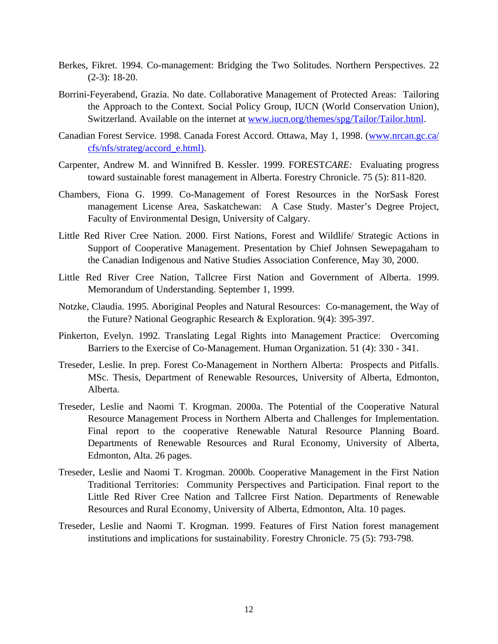- Berkes, Fikret. 1994. Co-management: Bridging the Two Solitudes. Northern Perspectives. 22 (2-3): 18-20.
- Borrini-Feyerabend, Grazia. No date. Collaborative Management of Protected Areas: Tailoring the Approach to the Context. Social Policy Group, IUCN (World Conservation Union), Switzerland. Available on the internet at www.iucn.org/themes/spg/Tailor/Tailor.html.
- Canadian Forest Service. 1998. Canada Forest Accord. Ottawa, May 1, 1998. (www.nrcan.gc.ca/ cfs/nfs/strateg/accord\_e.html).
- Carpenter, Andrew M. and Winnifred B. Kessler. 1999. FOREST*CARE:* Evaluating progress toward sustainable forest management in Alberta. Forestry Chronicle. 75 (5): 811-820.
- Chambers, Fiona G. 1999. Co-Management of Forest Resources in the NorSask Forest management License Area, Saskatchewan: A Case Study. Master's Degree Project, Faculty of Environmental Design, University of Calgary.
- Little Red River Cree Nation. 2000. First Nations, Forest and Wildlife/ Strategic Actions in Support of Cooperative Management. Presentation by Chief Johnsen Sewepagaham to the Canadian Indigenous and Native Studies Association Conference, May 30, 2000.
- Little Red River Cree Nation, Tallcree First Nation and Government of Alberta. 1999. Memorandum of Understanding. September 1, 1999.
- Notzke, Claudia. 1995. Aboriginal Peoples and Natural Resources: Co-management, the Way of the Future? National Geographic Research & Exploration. 9(4): 395-397.
- Pinkerton, Evelyn. 1992. Translating Legal Rights into Management Practice: Overcoming Barriers to the Exercise of Co-Management. Human Organization. 51 (4): 330 - 341.
- Treseder, Leslie. In prep. Forest Co-Management in Northern Alberta: Prospects and Pitfalls. MSc. Thesis, Department of Renewable Resources, University of Alberta, Edmonton, Alberta.
- Treseder, Leslie and Naomi T. Krogman. 2000a. The Potential of the Cooperative Natural Resource Management Process in Northern Alberta and Challenges for Implementation. Final report to the cooperative Renewable Natural Resource Planning Board. Departments of Renewable Resources and Rural Economy, University of Alberta, Edmonton, Alta. 26 pages.
- Treseder, Leslie and Naomi T. Krogman. 2000b. Cooperative Management in the First Nation Traditional Territories: Community Perspectives and Participation. Final report to the Little Red River Cree Nation and Tallcree First Nation. Departments of Renewable Resources and Rural Economy, University of Alberta, Edmonton, Alta. 10 pages.
- Treseder, Leslie and Naomi T. Krogman. 1999. Features of First Nation forest management institutions and implications for sustainability. Forestry Chronicle. 75 (5): 793-798.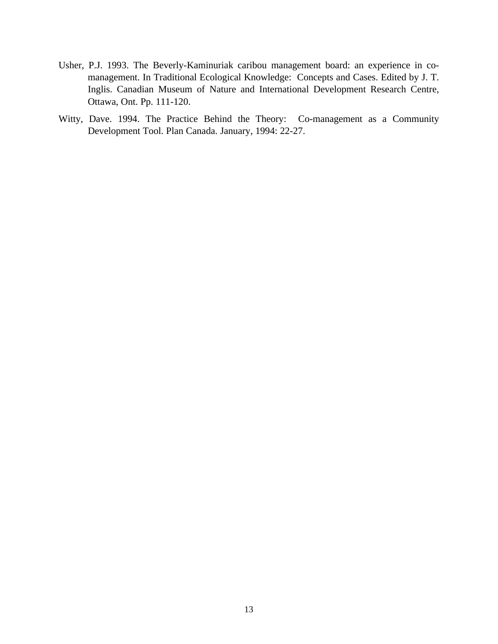- Usher, P.J. 1993. The Beverly-Kaminuriak caribou management board: an experience in comanagement. In Traditional Ecological Knowledge: Concepts and Cases. Edited by J. T. Inglis. Canadian Museum of Nature and International Development Research Centre, Ottawa, Ont. Pp. 111-120.
- Witty, Dave. 1994. The Practice Behind the Theory: Co-management as a Community Development Tool. Plan Canada. January, 1994: 22-27.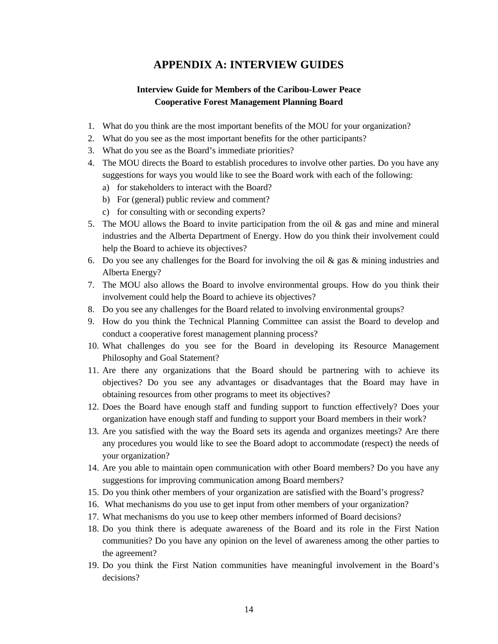# **APPENDIX A: INTERVIEW GUIDES**

### **Interview Guide for Members of the Caribou-Lower Peace Cooperative Forest Management Planning Board**

- 1. What do you think are the most important benefits of the MOU for your organization?
- 2. What do you see as the most important benefits for the other participants?
- 3. What do you see as the Board's immediate priorities?
- 4. The MOU directs the Board to establish procedures to involve other parties. Do you have any suggestions for ways you would like to see the Board work with each of the following:
	- a) for stakeholders to interact with the Board?
	- b) For (general) public review and comment?
	- c) for consulting with or seconding experts?
- 5. The MOU allows the Board to invite participation from the oil  $\&$  gas and mine and mineral industries and the Alberta Department of Energy. How do you think their involvement could help the Board to achieve its objectives?
- 6. Do you see any challenges for the Board for involving the oil  $\&$  gas  $\&$  mining industries and Alberta Energy?
- 7. The MOU also allows the Board to involve environmental groups. How do you think their involvement could help the Board to achieve its objectives?
- 8. Do you see any challenges for the Board related to involving environmental groups?
- 9. How do you think the Technical Planning Committee can assist the Board to develop and conduct a cooperative forest management planning process?
- 10. What challenges do you see for the Board in developing its Resource Management Philosophy and Goal Statement?
- 11. Are there any organizations that the Board should be partnering with to achieve its objectives? Do you see any advantages or disadvantages that the Board may have in obtaining resources from other programs to meet its objectives?
- 12. Does the Board have enough staff and funding support to function effectively? Does your organization have enough staff and funding to support your Board members in their work?
- 13. Are you satisfied with the way the Board sets its agenda and organizes meetings? Are there any procedures you would like to see the Board adopt to accommodate (respect) the needs of your organization?
- 14. Are you able to maintain open communication with other Board members? Do you have any suggestions for improving communication among Board members?
- 15. Do you think other members of your organization are satisfied with the Board's progress?
- 16. What mechanisms do you use to get input from other members of your organization?
- 17. What mechanisms do you use to keep other members informed of Board decisions?
- 18. Do you think there is adequate awareness of the Board and its role in the First Nation communities? Do you have any opinion on the level of awareness among the other parties to the agreement?
- 19. Do you think the First Nation communities have meaningful involvement in the Board's decisions?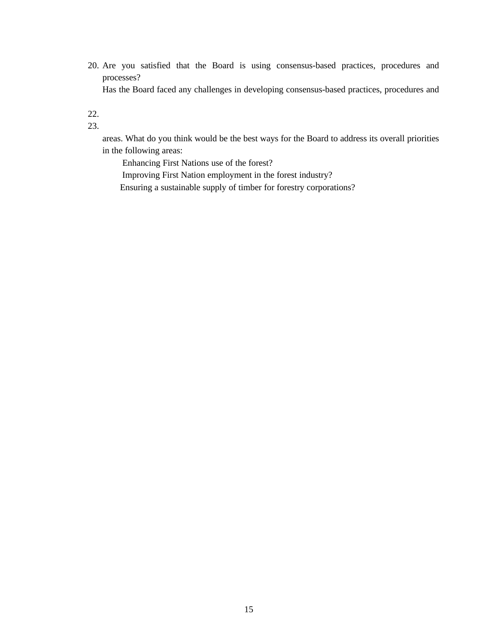- 20. Are you satisfied that the Board is using consensus-based practices, procedures and processes? Has the Board faced any challenges in developing consensus-based practices, procedures and
- 22.
- 23.

areas. What do you think would be the best ways for the Board to address its overall priorities in the following areas:

 Enhancing First Nations use of the forest? Improving First Nation employment in the forest industry? Ensuring a sustainable supply of timber for forestry corporations?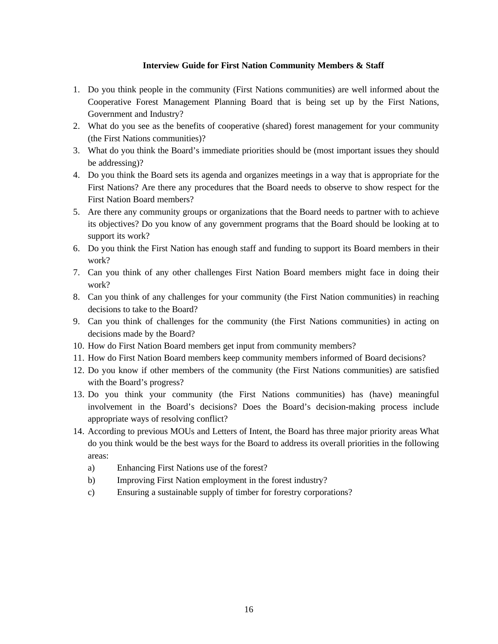#### **Interview Guide for First Nation Community Members & Staff**

- 1. Do you think people in the community (First Nations communities) are well informed about the Cooperative Forest Management Planning Board that is being set up by the First Nations, Government and Industry?
- 2. What do you see as the benefits of cooperative (shared) forest management for your community (the First Nations communities)?
- 3. What do you think the Board's immediate priorities should be (most important issues they should be addressing)?
- 4. Do you think the Board sets its agenda and organizes meetings in a way that is appropriate for the First Nations? Are there any procedures that the Board needs to observe to show respect for the First Nation Board members?
- 5. Are there any community groups or organizations that the Board needs to partner with to achieve its objectives? Do you know of any government programs that the Board should be looking at to support its work?
- 6. Do you think the First Nation has enough staff and funding to support its Board members in their work?
- 7. Can you think of any other challenges First Nation Board members might face in doing their work?
- 8. Can you think of any challenges for your community (the First Nation communities) in reaching decisions to take to the Board?
- 9. Can you think of challenges for the community (the First Nations communities) in acting on decisions made by the Board?
- 10. How do First Nation Board members get input from community members?
- 11. How do First Nation Board members keep community members informed of Board decisions?
- 12. Do you know if other members of the community (the First Nations communities) are satisfied with the Board's progress?
- 13. Do you think your community (the First Nations communities) has (have) meaningful involvement in the Board's decisions? Does the Board's decision-making process include appropriate ways of resolving conflict?
- 14. According to previous MOUs and Letters of Intent, the Board has three major priority areas What do you think would be the best ways for the Board to address its overall priorities in the following areas:
	- a) Enhancing First Nations use of the forest?
	- b) Improving First Nation employment in the forest industry?
	- c) Ensuring a sustainable supply of timber for forestry corporations?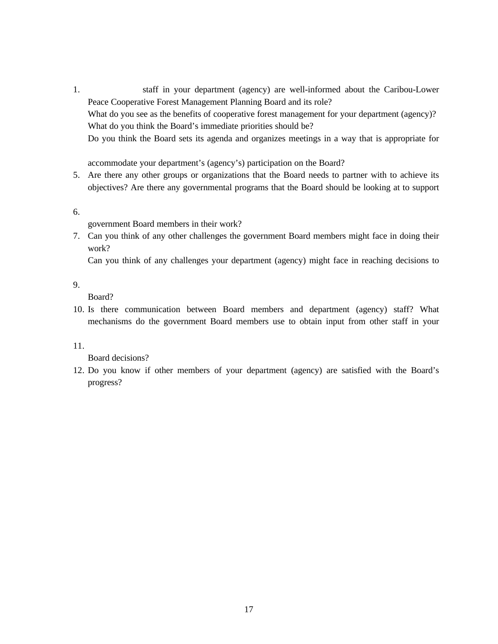1. staff in your department (agency) are well-informed about the Caribou-Lower Peace Cooperative Forest Management Planning Board and its role? What do you see as the benefits of cooperative forest management for your department (agency)? What do you think the Board's immediate priorities should be? Do you think the Board sets its agenda and organizes meetings in a way that is appropriate for

accommodate your department's (agency's) participation on the Board?

- 5. Are there any other groups or organizations that the Board needs to partner with to achieve its objectives? Are there any governmental programs that the Board should be looking at to support
- 6.
- government Board members in their work?
- 7. Can you think of any other challenges the government Board members might face in doing their work?

Can you think of any challenges your department (agency) might face in reaching decisions to

#### 9.

Board?

10. Is there communication between Board members and department (agency) staff? What mechanisms do the government Board members use to obtain input from other staff in your

#### 11.

Board decisions?

12. Do you know if other members of your department (agency) are satisfied with the Board's progress?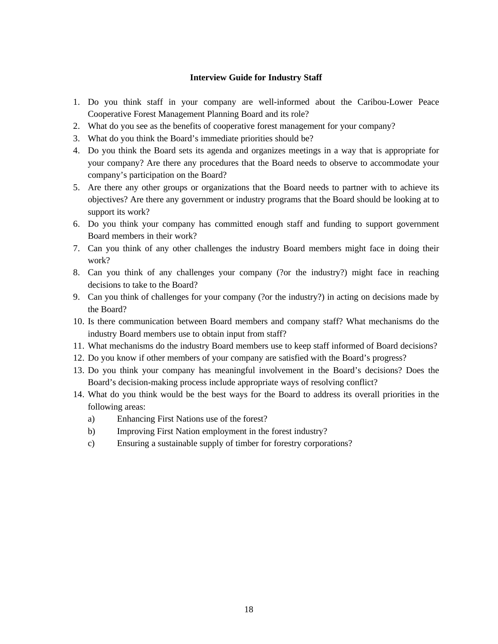#### **Interview Guide for Industry Staff**

- 1. Do you think staff in your company are well-informed about the Caribou-Lower Peace Cooperative Forest Management Planning Board and its role?
- 2. What do you see as the benefits of cooperative forest management for your company?
- 3. What do you think the Board's immediate priorities should be?
- 4. Do you think the Board sets its agenda and organizes meetings in a way that is appropriate for your company? Are there any procedures that the Board needs to observe to accommodate your company's participation on the Board?
- 5. Are there any other groups or organizations that the Board needs to partner with to achieve its objectives? Are there any government or industry programs that the Board should be looking at to support its work?
- 6. Do you think your company has committed enough staff and funding to support government Board members in their work?
- 7. Can you think of any other challenges the industry Board members might face in doing their work?
- 8. Can you think of any challenges your company (?or the industry?) might face in reaching decisions to take to the Board?
- 9. Can you think of challenges for your company (?or the industry?) in acting on decisions made by the Board?
- 10. Is there communication between Board members and company staff? What mechanisms do the industry Board members use to obtain input from staff?
- 11. What mechanisms do the industry Board members use to keep staff informed of Board decisions?
- 12. Do you know if other members of your company are satisfied with the Board's progress?
- 13. Do you think your company has meaningful involvement in the Board's decisions? Does the Board's decision-making process include appropriate ways of resolving conflict?
- 14. What do you think would be the best ways for the Board to address its overall priorities in the following areas:
	- a) Enhancing First Nations use of the forest?
	- b) Improving First Nation employment in the forest industry?
	- c) Ensuring a sustainable supply of timber for forestry corporations?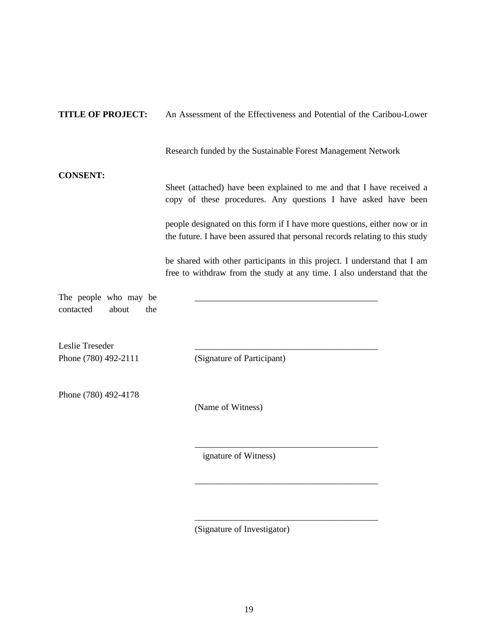| <b>TITLE OF PROJECT:</b>                           | An Assessment of the Effectiveness and Potential of the Caribou-Lower                                                                                     |
|----------------------------------------------------|-----------------------------------------------------------------------------------------------------------------------------------------------------------|
|                                                    | Research funded by the Sustainable Forest Management Network                                                                                              |
| <b>CONSENT:</b>                                    | Sheet (attached) have been explained to me and that I have received a<br>copy of these procedures. Any questions I have asked have been                   |
|                                                    | people designated on this form if I have more questions, either now or in<br>the future. I have been assured that personal records relating to this study |
|                                                    | be shared with other participants in this project. I understand that I am<br>free to withdraw from the study at any time. I also understand that the      |
| The people who may be<br>contacted<br>about<br>the |                                                                                                                                                           |
| Leslie Treseder<br>Phone (780) 492-2111            | (Signature of Participant)                                                                                                                                |
| Phone (780) 492-4178                               | (Name of Witness)                                                                                                                                         |
|                                                    | ignature of Witness)                                                                                                                                      |

(Signature of Investigator)

\_\_\_\_\_\_\_\_\_\_\_\_\_\_\_\_\_\_\_\_\_\_\_\_\_\_\_\_\_\_\_\_\_\_\_\_\_\_\_\_\_

\_\_\_\_\_\_\_\_\_\_\_\_\_\_\_\_\_\_\_\_\_\_\_\_\_\_\_\_\_\_\_\_\_\_\_\_\_\_\_\_\_